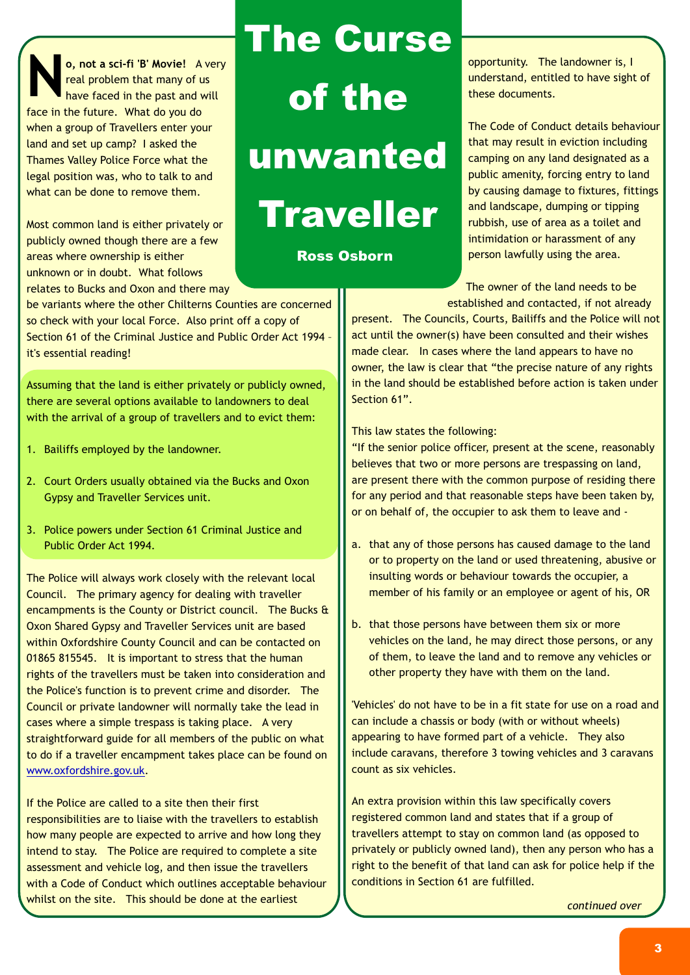**o, not a sci-fi 'B' Movie!** A very real problem that many of us have faced in the past and will face in the future. What do you do when a group of Travellers enter your land and set up camp? I asked the Thames Valley Police Force what the legal position was, who to talk to and what can be done to remove them.

Most common land is either privately or publicly owned though there are a few areas where ownership is either unknown or in doubt. What follows relates to Bucks and Oxon and there may

be variants where the other Chilterns Counties are concerned so check with your local Force. Also print off a copy of Section 61 of the Criminal Justice and Public Order Act 1994 – it's essential reading!

Assuming that the land is either privately or publicly owned, there are several options available to landowners to deal with the arrival of a group of travellers and to evict them:

- 1. Bailiffs employed by the landowner.
- 2. Court Orders usually obtained via the Bucks and Oxon Gypsy and Traveller Services unit.
- 3. Police powers under Section 61 Criminal Justice and Public Order Act 1994.

The Police will always work closely with the relevant local Council. The primary agency for dealing with traveller encampments is the County or District council. The Bucks & Oxon Shared Gypsy and Traveller Services unit are based within Oxfordshire County Council and can be contacted on 01865 815545. It is important to stress that the human rights of the travellers must be taken into consideration and the Police's function is to prevent crime and disorder. The Council or private landowner will normally take the lead in cases where a simple trespass is taking place. A very straightforward guide for all members of the public on what to do if a traveller encampment takes place can be found on . [www.oxfordshire.gov.uk](http://www.oxfordshire.gov.uk/)

If the Police are called to a site then their first responsibilities are to liaise with the travellers to establish how many people are expected to arrive and how long they intend to stay. The Police are required to complete a site assessment and vehicle log, and then issue the travellers with a Code of Conduct which outlines acceptable behaviour whilst on the site. This should be done at the earliest

# **The Curse of the unwanted Traveller**

**Ross Osborn**

opportunity. The landowner is, I understand, entitled to have sight of these documents.

The Code of Conduct details behaviour that may result in eviction including camping on any land designated as a public amenity, forcing entry to land by causing damage to fixtures, fittings and landscape, dumping or tipping rubbish, use of area as a toilet and intimidation or harassment of any person lawfully using the area.

The owner of the land needs to be established and contacted, if not already

present. The Councils, Courts, Bailiffs and the Police will not act until the owner(s) have been consulted and their wishes made clear. In cases where the land appears to have no owner, the law is clear that "the precise nature of any rights in the land should be established before action is taken under Section 61".

This law states the following:

"If the senior police officer, present at the scene, reasonably believes that two or more persons are trespassing on land, are present there with the common purpose of residing there for any period and that reasonable steps have been taken by, or on behalf of, the occupier to ask them to leave and -

- a. that any of those persons has caused damage to the land or to property on the land or used threatening, abusive or insulting words or behaviour towards the occupier, a member of his family or an employee or agent of his, OR
- b. that those persons have between them six or more vehicles on the land, he may direct those persons, or any of them, to leave the land and to remove any vehicles or other property they have with them on the land.

'Vehicles' do not have to be in a fit state for use on a road and can include a chassis or body (with or without wheels) appearing to have formed part of a vehicle. They also include caravans, therefore 3 towing vehicles and 3 caravans count as six vehicles.

An extra provision within this law specifically covers registered common land and states that if a group of travellers attempt to stay on common land (as opposed to privately or publicly owned land), then any person who has a right to the benefit of that land can ask for police help if the conditions in Section 61 are fulfilled.

*continued over*